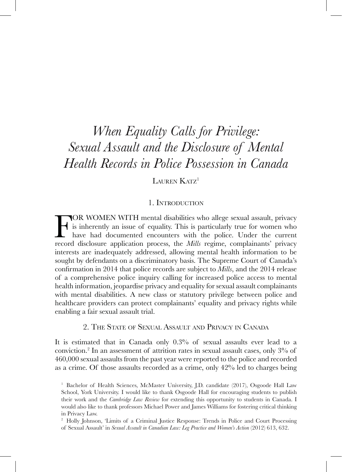# *When Equality Calls for Privilege: Sexual Assault and the Disclosure of Mental Health Records in Police Possession in Canada*

LAUREN KATZ<sup>1</sup>

### 1. Introduction

TOR WOMEN WITH mental disabilities who allege sexual assault, privacy<br>is inherently an issue of equality. This is particularly true for women who<br>have had documented encounters with the police. Under the current<br>record dis is inherently an issue of equality. This is particularly true for women who have had documented encounters with the police. Under the current record disclosure application process, the *Mills* regime, complainants' privacy interests are inadequately addressed, allowing mental health information to be sought by defendants on a discriminatory basis. The Supreme Court of Canada's confirmation in 2014 that police records are subject to *Mills*, and the 2014 release of a comprehensive police inquiry calling for increased police access to mental health information, jeopardise privacy and equality for sexual assault complainants with mental disabilities. A new class or statutory privilege between police and healthcare providers can protect complainants' equality and privacy rights while enabling a fair sexual assault trial.

# 2. The State of Sexual Assault and Privacy in Canada

It is estimated that in Canada only 0.3% of sexual assaults ever lead to a conviction.2 In an assessment of attrition rates in sexual assault cases, only 3% of 460,000 sexual assaults from the past year were reported to the police and recorded as a crime. Of those assaults recorded as a crime, only 42% led to charges being

<sup>&</sup>lt;sup>1</sup> Bachelor of Health Sciences, McMaster University, J.D. candidate (2017), Osgoode Hall Law School, York University. I would like to thank Osgoode Hall for encouraging students to publish their work and the *Cambridge Law Review* for extending this opportunity to students in Canada. I would also like to thank professors Michael Power and James Williams for fostering critical thinking in Privacy Law.

<sup>&</sup>lt;sup>2</sup> Holly Johnson, 'Limits of a Criminal Justice Response: Trends in Police and Court Processing of Sexual Assault' in *Sexual Assault in Canadian Law: Leg Practice and Women's Action* (2012) 613, 632.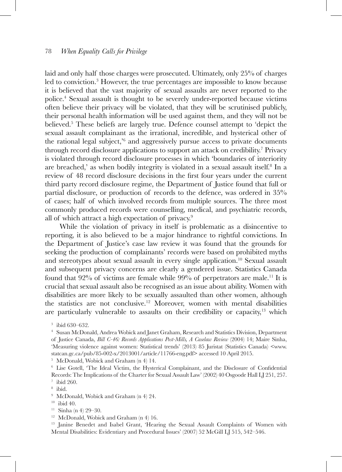laid and only half those charges were prosecuted. Ultimately, only 25% of charges led to conviction.3 However, the true percentages are impossible to know because it is believed that the vast majority of sexual assaults are never reported to the police.4 Sexual assault is thought to be severely under-reported because victims often believe their privacy will be violated, that they will be scrutinised publicly, their personal health information will be used against them, and they will not be believed.5 These beliefs are largely true. Defence counsel attempt to 'depict the sexual assault complainant as the irrational, incredible, and hysterical other of the rational legal subject,<sup>56</sup> and aggressively pursue access to private documents through record disclosure applications to support an attack on credibility.<sup>7</sup> Privacy is violated through record disclosure processes in which 'boundaries of interiority are breached,' as when bodily integrity is violated in a sexual assault itself.<sup>8</sup> In a review of 48 record disclosure decisions in the first four years under the current third party record disclosure regime, the Department of Justice found that full or partial disclosure, or production of records to the defence, was ordered in 35% of cases; half of which involved records from multiple sources. The three most commonly produced records were counselling, medical, and psychiatric records, all of which attract a high expectation of privacy.9

While the violation of privacy in itself is problematic as a disincentive to reporting, it is also believed to be a major hindrance to rightful convictions. In the Department of Justice's case law review it was found that the grounds for seeking the production of complainants' records were based on prohibited myths and stereotypes about sexual assault in every single application.10 Sexual assault and subsequent privacy concerns are clearly a gendered issue. Statistics Canada found that  $92\%$  of victims are female while  $99\%$  of perpetrators are male.<sup>11</sup> It is crucial that sexual assault also be recognised as an issue about ability. Women with disabilities are more likely to be sexually assaulted than other women, although the statistics are not conclusive.<sup>12</sup> Moreover, women with mental disabilities are particularly vulnerable to assaults on their credibility or capacity,<sup>13</sup> which

<sup>5</sup> McDonald, Wobick and Graham (n 4) 14.<br><sup>6</sup> Lise Gotell, 'The Ideal Victim, the Hysterical Complainant, and the Disclosure of Confidential Records: The Implications of the Charter for Sexual Assault Law' (2002) 40 Osgoode Hall LJ 251, 257.

<sup>13</sup> Janine Benedet and Isabel Grant, 'Hearing the Sexual Assault Complaints of Women with Mental Disabilities: Evidentiary and Procedural Issues' (2007) 52 McGill LJ 515, 542–546.

<sup>3</sup> ibid 630–632.

<sup>4</sup> Susan McDonald, Andrea Wobick and Janet Graham, Research and Statistics Division, Department of Justice Canada, *Bill C-46: Records Applications Post-Mills, A Caselaw Review* (2004) 14; Maire Sinha, 'Measuring violence against women: Statistical trends' (2013) 85 Juristat (Statistics Canada) <www. statcan.gc.ca/pub/85-002-x/2013001/article/11766-eng.pdf> accessed 10 April 2015.

<sup>&</sup>lt;sup>7</sup> ibid 260.  $\frac{8 \text{ ibid}}{ }$ 

<sup>&</sup>lt;sup>9</sup> McDonald, Wobick and Graham (n 4) 24.<br><sup>10</sup> ibid 40.

 $11$  Sinha (n 4) 29–30.

<sup>12</sup> McDonald, Wobick and Graham (n 4) 16.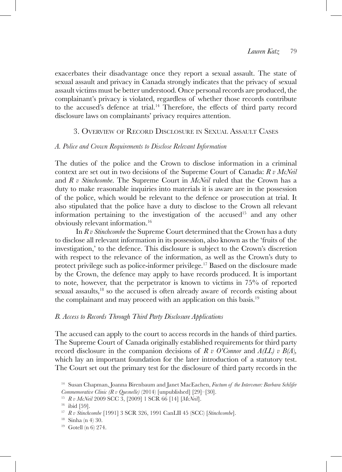exacerbates their disadvantage once they report a sexual assault. The state of sexual assault and privacy in Canada strongly indicates that the privacy of sexual assault victims must be better understood. Once personal records are produced, the complainant's privacy is violated, regardless of whether those records contribute to the accused's defence at trial.14 Therefore, the effects of third party record disclosure laws on complainants' privacy requires attention.

## 3. Overview of Record Disclosure in Sexual Assault Cases

### *A. Police and Crown Requirements to Disclose Relevant Information*

The duties of the police and the Crown to disclose information in a criminal context are set out in two decisions of the Supreme Court of Canada: *R v McNeil*  and *R v Stinchcombe*. The Supreme Court in *McNeil* ruled that the Crown has a duty to make reasonable inquiries into materials it is aware are in the possession of the police, which would be relevant to the defence or prosecution at trial. It also stipulated that the police have a duty to disclose to the Crown all relevant information pertaining to the investigation of the accused<sup>15</sup> and any other obviously relevant information.16

In *R v Stinchcombe* the Supreme Court determined that the Crown has a duty to disclose all relevant information in its possession, also known as the 'fruits of the investigation,' to the defence. This disclosure is subject to the Crown's discretion with respect to the relevance of the information, as well as the Crown's duty to protect privilege such as police-informer privilege.<sup>17</sup> Based on the disclosure made by the Crown, the defence may apply to have records produced. It is important to note, however, that the perpetrator is known to victims in 75% of reported sexual assaults,18 so the accused is often already aware of records existing about the complainant and may proceed with an application on this basis.19

### *B. Access to Records Through Third Party Disclosure Applications*

The accused can apply to the court to access records in the hands of third parties. The Supreme Court of Canada originally established requirements for third party record disclosure in the companion decisions of *R v O'Connor* and  $A(LL)$  v  $B(A)$ , which lay an important foundation for the later introduction of a statutory test. The Court set out the primary test for the disclosure of third party records in the

 $16$  ibid [59].

<sup>14</sup> Susan Chapman, Joanna Birenbaum and Janet MacEachen, *Factum of the Intervener: Barbara Schlifer Commemorative Clinic (R v Quesnelle)* (2014) [unpublished] [29]–[30].

<sup>15</sup> *R v McNeil* 2009 SCC 3, [2009] 1 SCR 66 [14] [*McNeil*].

<sup>17</sup> *R v Stinchcombe* [1991] 3 SCR 326, 1991 CanLII 45 (SCC) [*Stinchcombe*]. 18 Sinha (n 4) 30.

<sup>19</sup> Gotell (n 6) 274.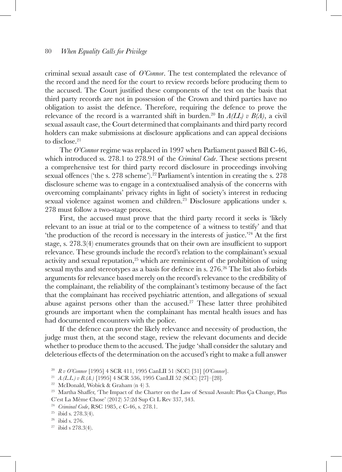criminal sexual assault case of *O'Connor*. The test contemplated the relevance of the record and the need for the court to review records before producing them to the accused. The Court justified these components of the test on the basis that third party records are not in possession of the Crown and third parties have no obligation to assist the defence. Therefore, requiring the defence to prove the relevance of the record is a warranted shift in burden.<sup>20</sup> In  $A(LL)$  v  $B(A)$ , a civil sexual assault case, the Court determined that complainants and third party record holders can make submissions at disclosure applications and can appeal decisions to disclose.<sup>21</sup>

The *O'Connor* regime was replaced in 1997 when Parliament passed Bill C-46, which introduced ss. 278.1 to 278.91 of the *Criminal Code*. These sections present a comprehensive test for third party record disclosure in proceedings involving sexual offences ('the s. 278 scheme').<sup>22</sup> Parliament's intention in creating the s. 278 disclosure scheme was to engage in a contextualised analysis of the concerns with overcoming complainants' privacy rights in light of society's interest in reducing sexual violence against women and children.<sup>23</sup> Disclosure applications under s. 278 must follow a two-stage process.

First, the accused must prove that the third party record it seeks is 'likely relevant to an issue at trial or to the competence of a witness to testify' and that 'the production of the record is necessary in the interests of justice.'24 At the first stage, s. 278.3(4) enumerates grounds that on their own are insufficient to support relevance. These grounds include the record's relation to the complainant's sexual activity and sexual reputation, $25$  which are reminiscent of the prohibition of using sexual myths and stereotypes as a basis for defence in s. 276.26 The list also forbids arguments for relevance based merely on the record's relevance to the credibility of the complainant, the reliability of the complainant's testimony because of the fact that the complainant has received psychiatric attention, and allegations of sexual abuse against persons other than the accused.<sup>27</sup> These latter three prohibited grounds are important when the complainant has mental health issues and has had documented encounters with the police.

If the defence can prove the likely relevance and necessity of production, the judge must then, at the second stage, review the relevant documents and decide whether to produce them to the accused. The judge 'shall consider the salutary and deleterious effects of the determination on the accused's right to make a full answer

<sup>20</sup> *R v O'Connor* [1995] 4 SCR 411, 1995 CanLII 51 (SCC) [31] [*O'Connor*].

<sup>21</sup> *A.(L.L.) v B.(A.)* [1995] 4 SCR 536, 1995 CanLII 52 (SCC) [27]–[28]. 22 McDonald, Wobick & Graham (n 4) 3.

<sup>&</sup>lt;sup>23</sup> Martha Shaffer, 'The Impact of the Charter on the Law of Sexual Assault: Plus Ca Change, Plus C'est La Même Chose' (2012) 57:2d Sup Ct L Rev 337, 343.

<sup>24</sup> *Criminal Code*, RSC 1985, c C-46, s. 278.1.

<sup>&</sup>lt;sup>25</sup> ibid s. 278.3(4).<br><sup>26</sup> ibid s. 276.

 $27$  ibid s  $278.3(4)$ .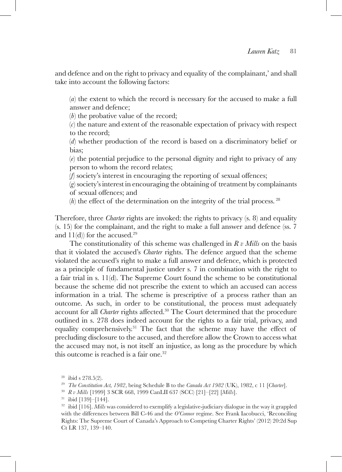and defence and on the right to privacy and equality of the complainant,' and shall take into account the following factors:

(*a*) the extent to which the record is necessary for the accused to make a full answer and defence;

(*b*) the probative value of the record;

(*c*) the nature and extent of the reasonable expectation of privacy with respect to the record;

(*d*) whether production of the record is based on a discriminatory belief or bias;

(*e*) the potential prejudice to the personal dignity and right to privacy of any person to whom the record relates;

(*f*) society's interest in encouraging the reporting of sexual offences;

(*g*) society's interest in encouraging the obtaining of treatment by complainants of sexual offences; and

(*h*) the effect of the determination on the integrity of the trial process. <sup>28</sup>

Therefore, three *Charter* rights are invoked: the rights to privacy (s. 8) and equality (s. 15) for the complainant, and the right to make a full answer and defence (ss. 7 and  $11(d)$  for the accused.<sup>29</sup>

The constitutionality of this scheme was challenged in *R v Mills* on the basis that it violated the accused's *Charter* rights. The defence argued that the scheme violated the accused's right to make a full answer and defence, which is protected as a principle of fundamental justice under s. 7 in combination with the right to a fair trial in s.  $11(d)$ . The Supreme Court found the scheme to be constitutional because the scheme did not prescribe the extent to which an accused can access information in a trial. The scheme is prescriptive of a process rather than an outcome. As such, in order to be constitutional, the process must adequately account for all *Charter* rights affected.30 The Court determined that the procedure outlined in s. 278 does indeed account for the rights to a fair trial, privacy, and equality comprehensively.<sup>31</sup> The fact that the scheme may have the effect of precluding disclosure to the accused, and therefore allow the Crown to access what the accused may not, is not itself an injustice, as long as the procedure by which this outcome is reached is a fair one.<sup>32</sup>

<sup>&</sup>lt;sup>28</sup> ibid s 278.5(2).<br><sup>29</sup> *The Constitution Act, 1982*, being Schedule B to the *Canada Act 1982* (UK), 1982, c 11 [*Charter*].<br><sup>30</sup> *R v Mills* [1999] 3 SCR 668, 1999 CanLII 637 (SCC) [21]-[22] [*Mills*].

 $31$  ibid [139]–[144].

<sup>32</sup> ibid [116]. *Mills* was considered to exemplify a legislative-judiciary dialogue in the way it grappled with the differences between Bill C-46 and the *O'Connor* regime. See Frank Iacobucci, 'Reconciling Rights: The Supreme Court of Canada's Approach to Competing Charter Rights' (2012) 20:2d Sup Ct LR 137, 139–140.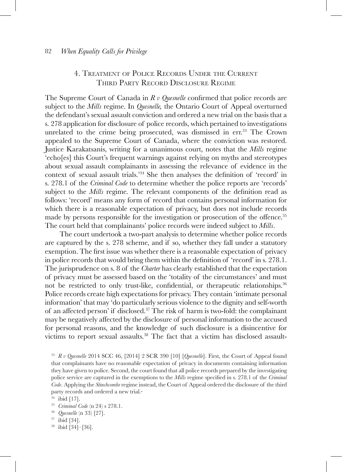# 4. Treatment of Police Records Under the Current Third Party Record Disclosure Regime

The Supreme Court of Canada in *R v Quesnelle* confirmed that police records are subject to the *Mills* regime. In *Quesnelle,* the Ontario Court of Appeal overturned the defendant's sexual assault conviction and ordered a new trial on the basis that a s. 278 application for disclosure of police records, which pertained to investigations unrelated to the crime being prosecuted, was dismissed in err.<sup>33</sup> The Crown appealed to the Supreme Court of Canada, where the conviction was restored. Justice Karakatsanis, writing for a unanimous court, notes that the *Mills* regime 'echo[es] this Court's frequent warnings against relying on myths and stereotypes about sexual assault complainants in assessing the relevance of evidence in the context of sexual assault trials.'34 She then analyses the definition of 'record' in s. 278.1 of the *Criminal Code* to determine whether the police reports are 'records' subject to the *Mills* regime. The relevant components of the definition read as follows: 'record' means any form of record that contains personal information for which there is a reasonable expectation of privacy, but does not include records made by persons responsible for the investigation or prosecution of the offence.<sup>35</sup> The court held that complainants' police records were indeed subject to *Mills*.

The court undertook a two-part analysis to determine whether police records are captured by the s. 278 scheme, and if so, whether they fall under a statutory exemption. The first issue was whether there is a reasonable expectation of privacy in police records that would bring them within the definition of 'record' in s. 278.1. The jurisprudence on s. 8 of the *Charter* has clearly established that the expectation of privacy must be assessed based on the 'totality of the circumstances' and must not be restricted to only trust-like, confidential, or therapeutic relationships.<sup>36</sup> Police records create high expectations for privacy. They contain 'intimate personal information' that may 'do particularly serious violence to the dignity and self-worth of an affected person' if disclosed.37 The risk of harm is two-fold: the complainant may be negatively affected by the disclosure of personal information to the accused for personal reasons, and the knowledge of such disclosure is a disincentive for victims to report sexual assaults.38 The fact that a victim has disclosed assault-

<sup>35</sup> *Criminal Code* (n 24) s 278.1.

<sup>36</sup> *Quesnelle* (n 33) [27].

- <sup>37</sup> ibid [34].
- <sup>38</sup> ibid [34]–[36].

<sup>33</sup> *R v Quesnelle* 2014 SCC 46, [2014] 2 SCR 390 [10] [*Quesnelle*]. First, the Court of Appeal found that complainants have no reasonable expectation of privacy in documents containing information they have given to police. Second, the court found that all police records prepared by the investigating police service are captured in the exemptions to the *Mills* regime specified in s. 278.1 of the *Criminal Code*. Applying the *Stinchcombe* regime instead, the Court of Appeal ordered the disclosure of the third party records and ordered a new trial.

 $34$  ibid [17].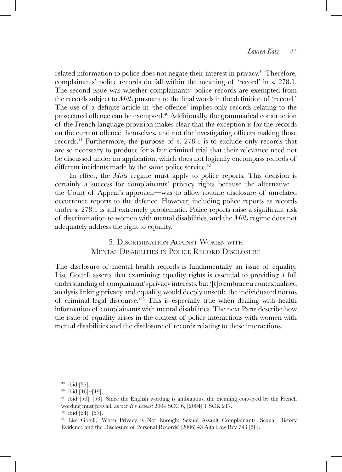related information to police does not negate their interest in privacy.<sup>39</sup> Therefore, complainants' police records do fall within the meaning of 'record' in s. 278.1. The second issue was whether complainants' police records are exempted from the records subject to *Mills* pursuant to the final words in the definition of 'record.' The use of a definite article in 'the offence' implies only records relating to the prosecuted offence can be exempted.<sup>40</sup> Additionally, the grammatical construction of the French language provision makes clear that the exception is for the records on the current offence themselves, and not the investigating officers making those records.41 Furthermore, the purpose of s. 278.1 is to exclude only records that are so necessary to produce for a fair criminal trial that their relevance need not be discussed under an application, which does not logically encompass records of different incidents made by the same police service.<sup>42</sup>

In effect, the *Mills* regime must apply to police reports. This decision is certainly a success for complainants' privacy rights because the alternative the Court of Appeal's approach—was to allow routine disclosure of unrelated occurrence reports to the defence. However, including police reports as records under s. 278.1 is still extremely problematic. Police reports raise a significant risk of discrimination to women with mental disabilities, and the *Mills* regime does not adequately address the right to equality.

> 5. Discrimination Against Women with Mental Disarilities in Police Record Disclosure

The disclosure of mental health records is fundamentally an issue of equality. Lise Gottell asserts that examining equality rights is essential to providing a full understanding of complainant's privacy interests, but '[t]o embrace a contextualised analysis linking privacy and equality, would deeply unsettle the individuated norms of criminal legal discourse.'43 This is especially true when dealing with health information of complainants with mental disabilities. The next Parts describe how the issue of equality arises in the context of police interactions with women with mental disabilities and the disclosure of records relating to these interactions.

<sup>39</sup> ibid [37].

 $40$  ibid  $[46]$  -  $[49]$ .

<sup>&</sup>lt;sup>41</sup> ibid [50]–[53]. Since the English wording is ambiguous, the meaning conveyed by the French wording must prevail, as per *R v Daoust* 2004 SCC 6, [2004] 1 SCR 217. 42 ibid [54]–[57].

<sup>43</sup> Lise Gotell, 'When Privacy is Not Enough: Sexual Assault Complainants, Sexual History Evidence and the Disclosure of Personal Records' (2006) 43 Alta Law Rev 743 [58].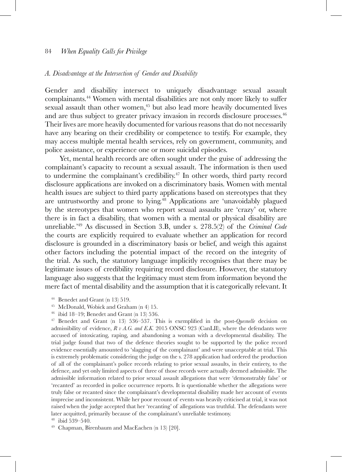#### *A. Disadvantage at the Intersection of Gender and Disability*

Gender and disability intersect to uniquely disadvantage sexual assault complainants.44 Women with mental disabilities are not only more likely to suffer sexual assault than other women,<sup>45</sup> but also lead more heavily documented lives and are thus subject to greater privacy invasion in records disclosure processes.46 Their lives are more heavily documented for various reasons that do not necessarily have any bearing on their credibility or competence to testify. For example, they may access multiple mental health services, rely on government, community, and police assistance, or experience one or more suicidal episodes.

Yet, mental health records are often sought under the guise of addressing the complainant's capacity to recount a sexual assault. The information is then used to undermine the complainant's credibility.<sup>47</sup> In other words, third party record disclosure applications are invoked on a discriminatory basis. Women with mental health issues are subject to third party applications based on stereotypes that they are untrustworthy and prone to lying.48 Applications are 'unavoidably plagued by the stereotypes that women who report sexual assaults are 'crazy' or, where there is in fact a disability, that women with a mental or physical disability are unreliable.'49 As discussed in Section 3.B, under s. 278.5(2) of the *Criminal Code*  the courts are explicitly required to evaluate whether an application for record disclosure is grounded in a discriminatory basis or belief, and weigh this against other factors including the potential impact of the record on the integrity of the trial. As such, the statutory language implicitly recognises that there may be legitimate issues of credibility requiring record disclosure. However, the statutory language also suggests that the legitimacy must stem from information beyond the mere fact of mental disability and the assumption that it is categorically relevant. It

<sup>46</sup> ibid 18–19; Benedet and Grant (n 13) 536.

<sup>47</sup> Benedet and Grant (n 13) 536–537. This is exemplified in the post-*Quesnelle* decision on admissibility of evidence, *R v A.G. and E.K.* 2015 ONSC 923 (CanLII), where the defendants were accused of intoxicating, raping, and abandoning a woman with a developmental disability. The trial judge found that two of the defence theories sought to be supported by the police record evidence essentially amounted to 'slagging of the complainant' and were unacceptable at trial. This is extremely problematic considering the judge on the s. 278 application had ordered the production of all of the complainant's police records relating to prior sexual assaults, in their entirety, to the defence, and yet only limited aspects of three of those records were actually deemed admissible. The admissible information related to prior sexual assault allegations that were 'demonstrably false' or 'recanted' as recorded in police occurrence reports. It is questionable whether the allegations were truly false or recanted since the complainant's developmental disability made her account of events imprecise and inconsistent. While her poor recount of events was heavily criticised at trial, it was not raised when the judge accepted that her 'recanting' of allegations was truthful. The defendants were later acquitted, primarily because of the complainant's unreliable testimony. <sup>48</sup> ibid 539–540.

<sup>49</sup> Chapman, Birenbaum and MacEachen (n 13) [20].

<sup>44</sup> Benedet and Grant (n 13) 519.

<sup>45</sup> McDonald, Wobick and Graham (n 4) 15.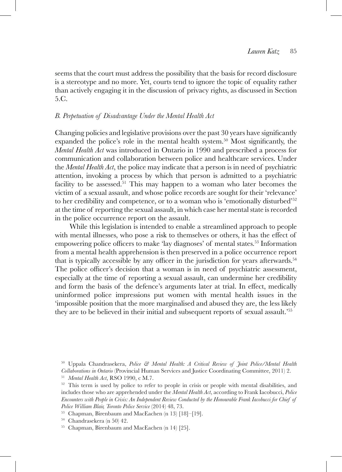seems that the court must address the possibility that the basis for record disclosure is a stereotype and no more. Yet, courts tend to ignore the topic of equality rather than actively engaging it in the discussion of privacy rights, as discussed in Section 5.C.

### *B. Perpetuation of Disadvantage Under the Mental Health Act*

Changing policies and legislative provisions over the past 30 years have significantly expanded the police's role in the mental health system.50 Most significantly, the *Mental Health Act* was introduced in Ontario in 1990 and prescribed a process for communication and collaboration between police and healthcare services. Under the *Mental Health Act*, the police may indicate that a person is in need of psychiatric attention, invoking a process by which that person is admitted to a psychiatric facility to be assessed.<sup>51</sup> This may happen to a woman who later becomes the victim of a sexual assault, and whose police records are sought for their 'relevance' to her credibility and competence, or to a woman who is 'emotionally disturbed'52 at the time of reporting the sexual assault, in which case her mental state is recorded in the police occurrence report on the assault.

While this legislation is intended to enable a streamlined approach to people with mental illnesses, who pose a risk to themselves or others, it has the effect of empowering police officers to make 'lay diagnoses' of mental states.<sup>53</sup> Information from a mental health apprehension is then preserved in a police occurrence report that is typically accessible by any officer in the jurisdiction for years afterwards.<sup>54</sup> The police officer's decision that a woman is in need of psychiatric assessment, especially at the time of reporting a sexual assault, can undermine her credibility and form the basis of the defence's arguments later at trial. In effect, medically uninformed police impressions put women with mental health issues in the 'impossible position that the more marginalised and abused they are, the less likely they are to be believed in their initial and subsequent reports of sexual assault.'<sup>55</sup>

<sup>50</sup> Uppala Chandrasekera, *Police & Mental Health: A Critical Review of Joint Police/Mental Health Collaborations in Ontario* (Provincial Human Services and Justice Coordinating Committee, 2011) 2.

<sup>51</sup> *Mental Health Act*, RSO 1990, c M.7.

<sup>&</sup>lt;sup>52</sup> This term is used by police to refer to people in crisis or people with mental disabilities, and includes those who are apprehended under the *Mental Health Act*, according to Frank Iacobucci, *Police Encounters with People in Crisis: An Independent Review Conducted by the Honourable Frank Iacobucci for Chief of Police William Blair, Toronto Police Service* (2014) 48, 73. 53 Chapman, Birenbaum and MacEachen (n 13) [18]–[19].

<sup>54</sup> Chandrasekera (n 50) 42.

<sup>55</sup> Chapman, Birenbaum and MacEachen (n 14) [25].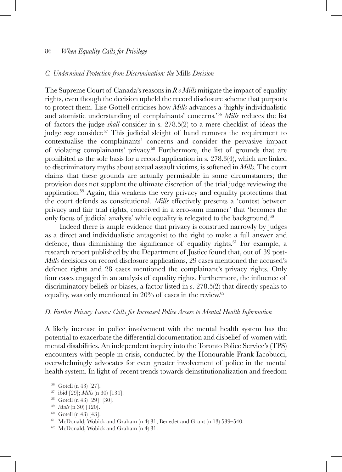#### *C. Undermined Protection from Discrimination: the* Mills *Decision*

The Supreme Court of Canada's reasons in *R v Mills* mitigate the impact of equality rights, even though the decision upheld the record disclosure scheme that purports to protect them. Lise Gottell criticises how *Mills* advances a 'highly individualistic and atomistic understanding of complainants' concerns.'56 *Mills* reduces the list of factors the judge *shall* consider in s. 278.5(2) to a mere checklist of ideas the judge *may* consider.<sup>57</sup> This judicial sleight of hand removes the requirement to contextualise the complainants' concerns and consider the pervasive impact of violating complainants' privacy.58 Furthermore, the list of grounds that are prohibited as the sole basis for a record application in s. 278.3(4), which are linked to discriminatory myths about sexual assault victims, is softened in *Mills.* The court claims that these grounds are actually permissible in some circumstances; the provision does not supplant the ultimate discretion of the trial judge reviewing the application.59 Again, this weakens the very privacy and equality protections that the court defends as constitutional. *Mills* effectively presents a 'contest between privacy and fair trial rights, conceived in a zero-sum manner' that 'becomes the only focus of judicial analysis' while equality is relegated to the background.<sup>60</sup>

Indeed there is ample evidence that privacy is construed narrowly by judges as a direct and individualistic antagonist to the right to make a full answer and defence, thus diminishing the significance of equality rights.<sup>61</sup> For example, a research report published by the Department of Justice found that, out of 39 post-*Mills* decisions on record disclosure applications, 29 cases mentioned the accused's defence rights and 28 cases mentioned the complainant's privacy rights. Only four cases engaged in an analysis of equality rights. Furthermore, the influence of discriminatory beliefs or biases, a factor listed in s. 278.5(2) that directly speaks to equality, was only mentioned in  $20\%$  of cases in the review.<sup>62</sup>

#### *D. Further Privacy Issues: Calls for Increased Police Access to Mental Health Information*

A likely increase in police involvement with the mental health system has the potential to exacerbate the differential documentation and disbelief of women with mental disabilities. An independent inquiry into the Toronto Police Service's (TPS) encounters with people in crisis, conducted by the Honourable Frank Iacobucci, overwhelmingly advocates for even greater involvement of police in the mental health system. In light of recent trends towards deinstitutionalization and freedom

- <sup>57</sup> ibid [29]; *Mills* (n 30) [134]. 58 Gotell (n 43) [29]–[30].
- 
- <sup>59</sup> *Mills* (n 30) [120].
- <sup>60</sup> Gotell (n 43) [43].
- <sup>61</sup> McDonald, Wobick and Graham (n 4) 31; Benedet and Grant (n 13) 539–540.
- <sup>62</sup> McDonald, Wobick and Graham (n 4) 31.

<sup>56</sup> Gotell (n 43) [27].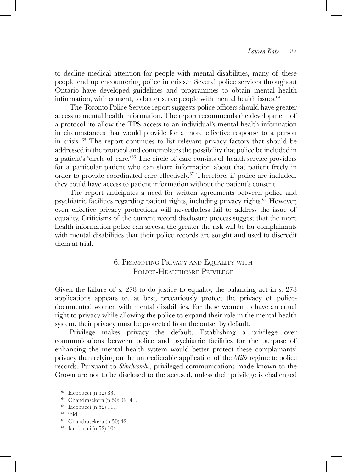to decline medical attention for people with mental disabilities, many of these people end up encountering police in crisis.63 Several police services throughout Ontario have developed guidelines and programmes to obtain mental health information, with consent, to better serve people with mental health issues. $64$ 

The Toronto Police Service report suggests police officers should have greater access to mental health information. The report recommends the development of a protocol 'to allow the TPS access to an individual's mental health information in circumstances that would provide for a more effective response to a person in crisis.'65 The report continues to list relevant privacy factors that should be addressed in the protocol and contemplates the possibility that police be included in a patient's 'circle of care.'66 The circle of care consists of health service providers for a particular patient who can share information about that patient freely in order to provide coordinated care effectively.<sup>67</sup> Therefore, if police are included, they could have access to patient information without the patient's consent.

The report anticipates a need for written agreements between police and psychiatric facilities regarding patient rights, including privacy rights.<sup>68</sup> However, even effective privacy protections will nevertheless fail to address the issue of equality. Criticisms of the current record disclosure process suggest that the more health information police can access, the greater the risk will be for complainants with mental disabilities that their police records are sought and used to discredit them at trial.

# 6. Promoting Privacy and Equality with POLICE-HEALTHCARE PRIVILEGE

Given the failure of s. 278 to do justice to equality, the balancing act in s. 278 applications appears to, at best, precariously protect the privacy of policedocumented women with mental disabilities. For these women to have an equal right to privacy while allowing the police to expand their role in the mental health system, their privacy must be protected from the outset by default.

Privilege makes privacy the default. Establishing a privilege over communications between police and psychiatric facilities for the purpose of enhancing the mental health system would better protect these complainants' privacy than relying on the unpredictable application of the *Mills* regime to police records. Pursuant to *Stinchcombe*, privileged communications made known to the Crown are not to be disclosed to the accused, unless their privilege is challenged

- <sup>67</sup> Chandrasekera (n 50) 42.
- <sup>68</sup> Iacobucci (n 52) 104.

<sup>63</sup> Iacobucci (n 52) 83.

 $^{64}\,$  Chandrasekera (n $50)$ 39–41.

<sup>65</sup> Iacobucci (n 52) 111.

<sup>66</sup> ibid.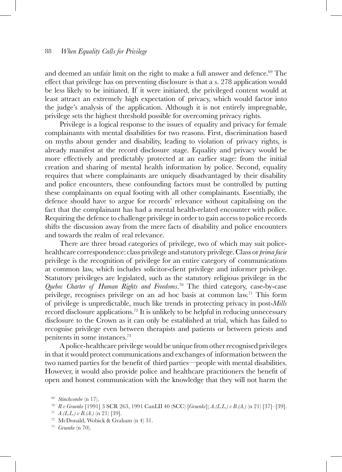and deemed an unfair limit on the right to make a full answer and defence.<sup>69</sup> The effect that privilege has on preventing disclosure is that a s. 278 application would be less likely to be initiated. If it were initiated, the privileged content would at least attract an extremely high expectation of privacy, which would factor into the judge's analysis of the application. Although it is not entirely impregnable, privilege sets the highest threshold possible for overcoming privacy rights.

Privilege is a logical response to the issues of equality and privacy for female complainants with mental disabilities for two reasons. First, discrimination based on myths about gender and disability, leading to violation of privacy rights, is already manifest at the record disclosure stage. Equality and privacy would be more effectively and predictably protected at an earlier stage: from the initial creation and sharing of mental health information by police. Second, equality requires that where complainants are uniquely disadvantaged by their disability and police encounters, these confounding factors must be controlled by putting these complainants on equal footing with all other complainants. Essentially, the defence should have to argue for records' relevance without capitalising on the fact that the complainant has had a mental health-related encounter with police. Requiring the defence to challenge privilege in order to gain access to police records shifts the discussion away from the mere facts of disability and police encounters and towards the realm of real relevance.

There are three broad categories of privilege, two of which may suit policehealthcare correspondence: class privilege and statutory privilege. Class or *prima facie*  privilege is the recognition of privilege for an entire category of communications at common law, which includes solicitor-client privilege and informer privilege. Statutory privileges are legislated, such as the statutory religious privilege in the *Quebec Charter of Human Rights and Freedoms*. 70 The third category, case-by-case privilege, recognises privilege on an ad hoc basis at common law.71 This form of privilege is unpredictable, much like trends in protecting privacy in post-*Mills* record disclosure applications.72 It is unlikely to be helpful in reducing unnecessary disclosure to the Crown as it can only be established at trial, which has failed to recognise privilege even between therapists and patients or between priests and penitents in some instances.73

A police-healthcare privilege would be unique from other recognised privileges in that it would protect communications and exchanges of information between the two named parties for the benefit of third parties—people with mental disabilities. However, it would also provide police and healthcare practitioners the benefit of open and honest communication with the knowledge that they will not harm the

<sup>69</sup> *Stinchcombe* (n 17).

<sup>70</sup> *R v Gruenke* [1991] 3 SCR 263, 1991 CanLII 40 (SCC) [*Gruenke*]; *A.(L.L.) v B.(A.)* (n 21) [37]–[39].

<sup>71</sup> *A.(L.L.) v B.(A.)* (n 21) [39].

<sup>72</sup> McDonald, Wobick & Graham (n 4) 31.

<sup>73</sup> *Gruenke* (n 70).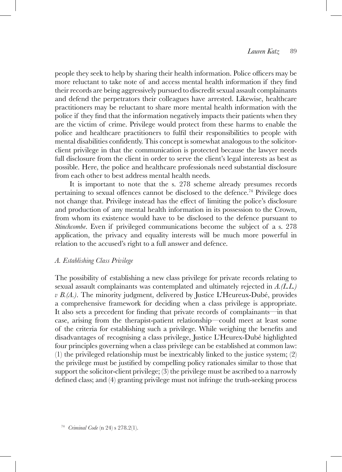people they seek to help by sharing their health information. Police officers may be more reluctant to take note of and access mental health information if they find their records are being aggressively pursued to discredit sexual assault complainants and defend the perpetrators their colleagues have arrested. Likewise, healthcare practitioners may be reluctant to share more mental health information with the police if they find that the information negatively impacts their patients when they are the victim of crime. Privilege would protect from these harms to enable the police and healthcare practitioners to fulfil their responsibilities to people with mental disabilities confidently. This concept is somewhat analogous to the solicitorclient privilege in that the communication is protected because the lawyer needs full disclosure from the client in order to serve the client's legal interests as best as possible. Here, the police and healthcare professionals need substantial disclosure from each other to best address mental health needs.

It is important to note that the s. 278 scheme already presumes records pertaining to sexual offences cannot be disclosed to the defence.74 Privilege does not change that. Privilege instead has the effect of limiting the police's disclosure and production of any mental health information in its possession to the Crown, from whom its existence would have to be disclosed to the defence pursuant to *Stinchcombe*. Even if privileged communications become the subject of a s. 278 application, the privacy and equality interests will be much more powerful in relation to the accused's right to a full answer and defence.

### *A. Establishing Class Privilege*

The possibility of establishing a new class privilege for private records relating to sexual assault complainants was contemplated and ultimately rejected in *A.(L.L.) v B.(A.)*. The minority judgment, delivered by Justice L'Heureux-Dubé, provides a comprehensive framework for deciding when a class privilege is appropriate. It also sets a precedent for finding that private records of complainants—in that case, arising from the therapist-patient relationship—could meet at least some of the criteria for establishing such a privilege. While weighing the benefits and disadvantages of recognising a class privilege, Justice L'Heurex-Dubé highlighted four principles governing when a class privilege can be established at common law: (1) the privileged relationship must be inextricably linked to the justice system; (2) the privilege must be justified by compelling policy rationales similar to those that support the solicitor-client privilege; (3) the privilege must be ascribed to a narrowly defined class; and (4) granting privilege must not infringe the truth-seeking process

<sup>74</sup> *Criminal Code* (n 24) s 278.2(1).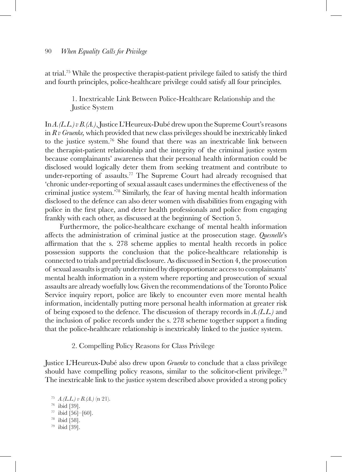at trial.75 While the prospective therapist-patient privilege failed to satisfy the third and fourth principles, police-healthcare privilege could satisfy all four principles.

> 1. Inextricable Link Between Police-Healthcare Relationship and the Justice System

In *A.(L.L.) v B.(A.)*, Justice L'Heureux-Dubé drew upon the Supreme Court's reasons in *R v Gruenke,* which provided that new class privileges should be inextricably linked to the justice system.76 She found that there was an inextricable link between the therapist-patient relationship and the integrity of the criminal justice system because complainants' awareness that their personal health information could be disclosed would logically deter them from seeking treatment and contribute to under-reporting of assaults.<sup>77</sup> The Supreme Court had already recognised that 'chronic under-reporting of sexual assault cases undermines the effectiveness of the criminal justice system.'78 Similarly, the fear of having mental health information disclosed to the defence can also deter women with disabilities from engaging with police in the first place, and deter health professionals and police from engaging frankly with each other, as discussed at the beginning of Section 5.

Furthermore*,* the police-healthcare exchange of mental health information affects the administration of criminal justice at the prosecution stage. *Quesnelle*'s affirmation that the s. 278 scheme applies to mental health records in police possession supports the conclusion that the police-healthcare relationship is connected to trials and pretrial disclosure. As discussed in Section 4, the prosecution of sexual assaults is greatly undermined by disproportionate access to complainants' mental health information in a system where reporting and prosecution of sexual assaults are already woefully low. Given the recommendations of the Toronto Police Service inquiry report, police are likely to encounter even more mental health information, incidentally putting more personal health information at greater risk of being exposed to the defence. The discussion of therapy records in *A.(L.L.)* and the inclusion of police records under the s. 278 scheme together support a finding that the police-healthcare relationship is inextricably linked to the justice system.

2. Compelling Policy Reasons for Class Privilege

Justice L'Heureux-Dubé also drew upon *Gruenke* to conclude that a class privilege should have compelling policy reasons, similar to the solicitor-client privilege.<sup>79</sup> The inextricable link to the justice system described above provided a strong policy

 *A.(L.L.) v B.(A.)* (n 21). ibid [39].  $^{77}$  ibid [56]–[60].<br> $^{78}$  ibid [58]. ibid [39].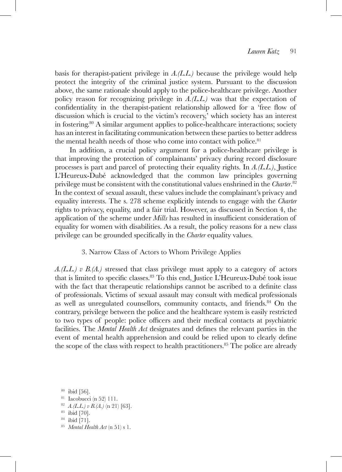basis for therapist-patient privilege in *A.(L.L.)* because the privilege would help protect the integrity of the criminal justice system. Pursuant to the discussion above, the same rationale should apply to the police-healthcare privilege. Another policy reason for recognizing privilege in *A.(L.L.)* was that the expectation of confidentiality in the therapist-patient relationship allowed for a 'free flow of discussion which is crucial to the victim's recovery,' which society has an interest in fostering.<sup>80</sup> A similar argument applies to police-healthcare interactions; society has an interest in facilitating communication between these parties to better address the mental health needs of those who come into contact with police.<sup>81</sup>

In addition, a crucial policy argument for a police-healthcare privilege is that improving the protection of complainants' privacy during record disclosure processes is part and parcel of protecting their equality rights. In *A.(L.L.)*, Justice L'Heureux-Dubé acknowledged that the common law principles governing privilege must be consistent with the constitutional values enshrined in the *Charter*. 82 In the context of sexual assault, these values include the complainant's privacy and equality interests. The s. 278 scheme explicitly intends to engage with the *Charter* rights to privacy, equality, and a fair trial. However, as discussed in Section 4, the application of the scheme under *Mills* has resulted in insufficient consideration of equality for women with disabilities. As a result, the policy reasons for a new class privilege can be grounded specifically in the *Charter* equality values.

### 3. Narrow Class of Actors to Whom Privilege Applies

*A.(L.L.) v B.(A.)* stressed that class privilege must apply to a category of actors that is limited to specific classes.<sup>83</sup> To this end, Justice L'Heureux-Dubé took issue with the fact that therapeutic relationships cannot be ascribed to a definite class of professionals. Victims of sexual assault may consult with medical professionals as well as unregulated counsellors, community contacts, and friends.<sup>84</sup> On the contrary, privilege between the police and the healthcare system is easily restricted to two types of people: police officers and their medical contacts at psychiatric facilities. The *Mental Health Act* designates and defines the relevant parties in the event of mental health apprehension and could be relied upon to clearly define the scope of the class with respect to health practitioners.<sup>85</sup> The police are already

<sup>80</sup> ibid [56].

<sup>82</sup> *A.(L.L.) v B.(A.)* (n 21) [63].

<sup>81</sup> Iacobucci (n 52) 111.

<sup>&</sup>lt;sup>83</sup> ibid [70].<br><sup>84</sup> ibid [71].

<sup>&</sup>lt;sup>85</sup> Mental Health Act (n 51) s 1.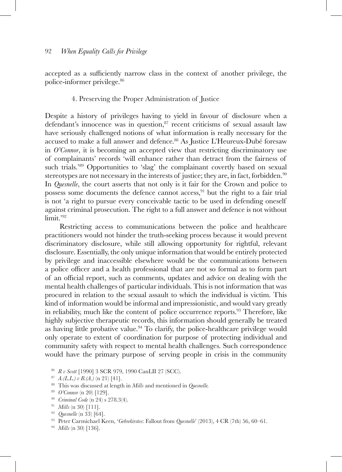accepted as a sufficiently narrow class in the context of another privilege, the police-informer privilege.86

### 4. Preserving the Proper Administration of Justice

Despite a history of privileges having to yield in favour of disclosure when a defendant's innocence was in question, $87$  recent criticisms of sexual assault law have seriously challenged notions of what information is really necessary for the accused to make a full answer and defence.88 As Justice L'Heureux-Dubé foresaw in *O'Connor*, it is becoming an accepted view that restricting discriminatory use of complainants' records 'will enhance rather than detract from the fairness of such trials.'89 Opportunities to 'slag' the complainant covertly based on sexual stereotypes are not necessary in the interests of justice; they are, in fact, forbidden. $90$ In *Quesnelle*, the court asserts that not only is it fair for the Crown and police to possess some documents the defence cannot access,91 but the right to a fair trial is not 'a right to pursue every conceivable tactic to be used in defending oneself against criminal prosecution. The right to a full answer and defence is not without limit.'92

Restricting access to communications between the police and healthcare practitioners would not hinder the truth-seeking process because it would prevent discriminatory disclosure, while still allowing opportunity for rightful, relevant disclosure. Essentially, the only unique information that would be entirely protected by privilege and inaccessible elsewhere would be the communications between a police officer and a health professional that are not so formal as to form part of an official report, such as comments, updates and advice on dealing with the mental health challenges of particular individuals. This is not information that was procured in relation to the sexual assault to which the individual is victim. This kind of information would be informal and impressionistic, and would vary greatly in reliability, much like the content of police occurrence reports.<sup>93</sup> Therefore, like highly subjective therapeutic records, this information should generally be treated as having little probative value.94 To clarify, the police-healthcare privilege would only operate to extent of coordination for purpose of protecting individual and community safety with respect to mental health challenges. Such correspondence would have the primary purpose of serving people in crisis in the community

<sup>86</sup> *R v Scott* [1990] 3 SCR 979, 1990 CanLII 27 (SCC).

<sup>87</sup> *A.(L.L.) v B.(A.)* (n 21) [41].

<sup>88</sup> This was discussed at length in *Mills* and mentioned in *Quesnelle.* 

- 
- 

<sup>&</sup>lt;sup>89</sup> O'Connor (n 20) [129].<br><sup>90</sup> Criminal Code (n 24) s 278.3(4).<br><sup>91</sup> Mills (n 30) [111].<br><sup>92</sup> Quesnelle (n 33) [64].<br><sup>92</sup> Quesnelle (n 33) [64].<br><sup>93</sup> Peter Carmichael Keen, 'Gebrekirstos: Fallout from Quesnelle' (2013),

<sup>94</sup> *Mills* (n 30) [136].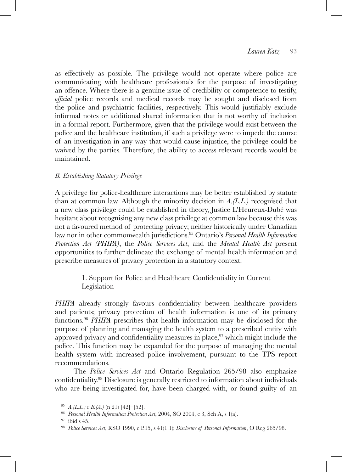as effectively as possible. The privilege would not operate where police are communicating with healthcare professionals for the purpose of investigating an offence. Where there is a genuine issue of credibility or competence to testify, *official* police records and medical records may be sought and disclosed from the police and psychiatric facilities, respectively. This would justifiably exclude informal notes or additional shared information that is not worthy of inclusion in a formal report. Furthermore, given that the privilege would exist between the police and the healthcare institution, if such a privilege were to impede the course of an investigation in any way that would cause injustice, the privilege could be waived by the parties. Therefore, the ability to access relevant records would be maintained.

# *B. Establishing Statutory Privilege*

A privilege for police-healthcare interactions may be better established by statute than at common law. Although the minority decision in *A.(L.L.)* recognised that a new class privilege could be established in theory, Justice L'Heureux-Dubé was hesitant about recognising any new class privilege at common law because this was not a favoured method of protecting privacy; neither historically under Canadian law nor in other commonwealth jurisdictions.95 Ontario's *Personal Health Information Protection Act (PHIPA)*, the *Police Services Act*, and the *Mental Health Act* present opportunities to further delineate the exchange of mental health information and prescribe measures of privacy protection in a statutory context.

> 1. Support for Police and Healthcare Confidentiality in Current Legislation

*PHIPA* already strongly favours confidentiality between healthcare providers and patients; privacy protection of health information is one of its primary functions.96 *PHIPA* prescribes that health information may be disclosed for the purpose of planning and managing the health system to a prescribed entity with approved privacy and confidentiality measures in place, $97$  which might include the police. This function may be expanded for the purpose of managing the mental health system with increased police involvement, pursuant to the TPS report recommendations.

The *Police Services Act* and Ontario Regulation 265/98 also emphasize confidentiality.98 Disclosure is generally restricted to information about individuals who are being investigated for, have been charged with, or found guilty of an

<sup>95</sup> *A.(L.L.) v B.(A.)* (n 21) [42]–[52].

<sup>&</sup>lt;sup>97</sup> ibid s 45.<br><sup>98</sup> *Police Services Act*, RSO 1990, c P.15, s 41(1.1); *Disclosure of Personal Information*, O Reg 265/98.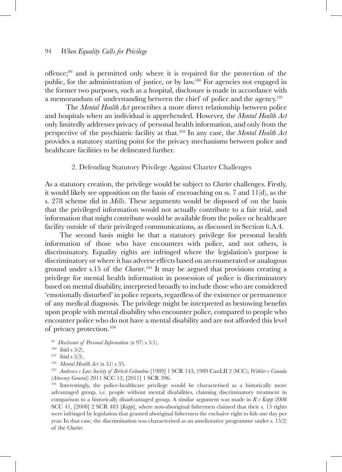offence;<sup>99</sup> and is permitted only where it is required for the protection of the public, for the administration of justice, or by law.100 For agencies not engaged in the former two purposes, such as a hospital, disclosure is made in accordance with a memorandum of understanding between the chief of police and the agency.<sup>101</sup>

The *Mental Health Act* prescribes a more direct relationship between police and hospitals when an individual is apprehended. However, the *Mental Health Act* only limitedly addresses privacy of personal health information, and only from the perspective of the psychiatric facility at that.102 In any case, the *Mental Health Act* provides a statutory starting point for the privacy mechanisms between police and healthcare facilities to be delineated further.

### 2. Defending Statutory Privilege Against Charter Challenges

As a statutory creation, the privilege would be subject to *Charter* challenges. Firstly, it would likely see opposition on the basis of encroaching on ss. 7 and 11(d), as the s. 278 scheme did in *Mills*. These arguments would be disposed of on the basis that the privileged information would not actually contribute to a fair trial, and information that might contribute would be available from the police or healthcare facility outside of their privileged communications, as discussed in Section 6.A.4.

The second basis might be that a statutory privilege for personal health information of those who have encounters with police, and not others, is discriminatory. Equality rights are infringed where the legislation's purpose is discriminatory or where it has adverse effects based on an enumerated or analogous ground under s.15 of the *Charter*. 103 It may be argued that provisions creating a privilege for mental health information in possession of police is discriminatory based on mental disability, interpreted broadly to include those who are considered 'emotionally disturbed' in police reports, regardless of the existence or permanence of any medical diagnosis. The privilege might be interpreted as bestowing benefits upon people with mental disability who encounter police, compared to people who encounter police who do not have a mental disability and are not afforded this level of privacy protection.104

- <sup>99</sup> *Disclosure of Personal Information* (n 97) s 5(1).<br><sup>100</sup> ibid s 5(2).<br><sup>101</sup> ibid s 5(3).
- 
- 
- 

<sup>102</sup> *Mental Health Act* (n 51) s 35. 103 *Andrews v Law Society of British Columbia* [1989] 1 SCR 143, 1989 CanLII 2 (SCC); *Withler v Canada (Attorney General)* 2011 SCC 12, [2011] 1 SCR 396.<br><sup>104</sup> Interestingly, the police-healthcare privilege would be characterised as a historically more

advantaged group, i.e. people without mental disabilities, claiming discriminatory treatment in comparison to a historically disadvantaged group. A similar argument was made in *R v Kapp* 2008 SCC 41, [2008] 2 SCR 483 [*Kapp*], where non-aboriginal fishermen claimed that their s. 15 rights were infringed by legislation that granted aboriginal fishermen the exclusive right to fish one day per year. In that case, the discrimination was characterised as an ameliorative programme under s. 15(2) of the *Charter*.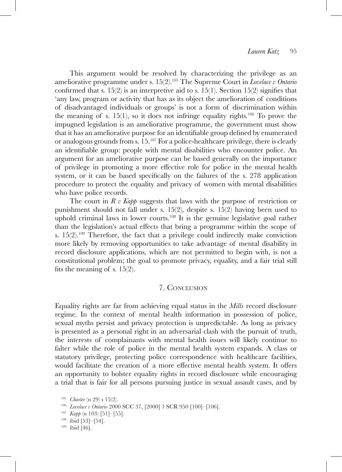This argument would be resolved by characterizing the privilege as an ameliorative programme under s. 15(2).105 The Supreme Court in *Lovelace v Ontario* confirmed that s.  $15(2)$  is an interpretive aid to s.  $15(1)$ . Section  $15(2)$  signifies that 'any law, program or activity that has as its object the amelioration of conditions of disadvantaged individuals or groups' is not a form of discrimination within the meaning of s. 15(1), so it does not infringe equality rights.<sup>106</sup> To prove the impugned legislation is an ameliorative programme, the government must show that it has an ameliorative purpose for an identifiable group defined by enumerated or analogous grounds from s. 15.107 For a police-healthcare privilege, there is clearly an identifiable group: people with mental disabilities who encounter police. An argument for an ameliorative purpose can be based generally on the importance of privilege in promoting a more effective role for police in the mental health system, or it can be based specifically on the failures of the s. 278 application procedure to protect the equality and privacy of women with mental disabilities who have police records.

The court in *R v Kapp* suggests that laws with the purpose of restriction or punishment should not fall under s. 15(2), despite s. 15(2) having been used to uphold criminal laws in lower courts.<sup>108</sup> It is the genuine legislative goal rather than the legislation's actual effects that bring a programme within the scope of s.  $15(2).^{109}$  Therefore, the fact that a privilege could indirectly make conviction more likely by removing opportunities to take advantage of mental disability in record disclosure applications, which are not permitted to begin with, is not a constitutional problem; the goal to promote privacy, equality, and a fair trial still fits the meaning of s. 15(2).

### 7. Conclusion

Equality rights are far from achieving equal status in the *Mills* record disclosure regime. In the context of mental health information in possession of police, sexual myths persist and privacy protection is unpredictable. As long as privacy is presented as a personal right in an adversarial clash with the pursuit of truth, the interests of complainants with mental health issues will likely continue to falter while the role of police in the mental health system expands. A class or statutory privilege, protecting police correspondence with healthcare facilities, would facilitate the creation of a more effective mental health system. It offers an opportunity to bolster equality rights in record disclosure while encouraging a trial that is fair for all persons pursuing justice in sexual assault cases, and by

<sup>1&</sup>lt;sup>05</sup> *Charter* (n 29) s 15(2).<br>
<sup>106</sup> *Lovelace v Ontario* 2000 SCC 37, [2000] 1 SCR 950 [100]-[106].<br>
<sup>107</sup> *Kapp* (n 103) [51]-[55].<br>
<sup>108</sup> ibid [53]-[54].<br>
<sup>109</sup> ibid [46].